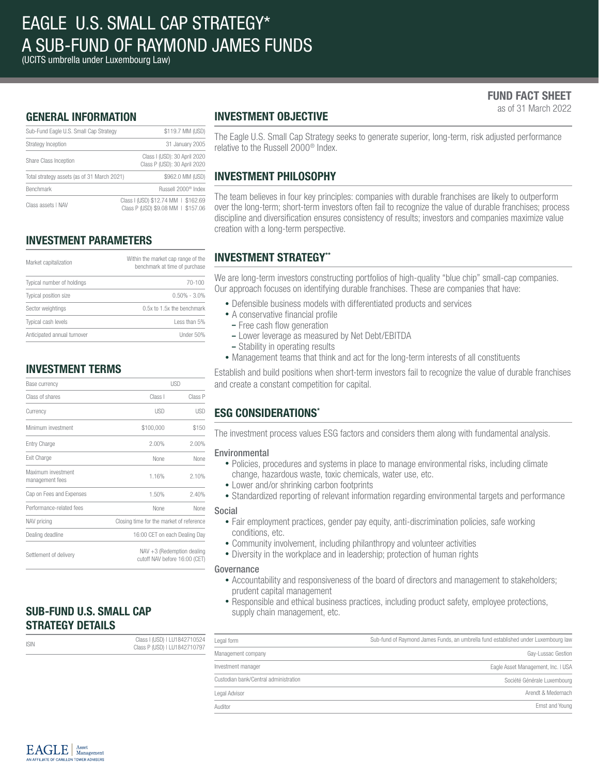(UCITS umbrella under Luxembourg Law)

# FUND FACT SHEET

as of 31 March 2022

# GENERAL INFORMATION

| Sub-Fund Eagle U.S. Small Cap Strategy      | \$119.7 MM (USD)                                                          |
|---------------------------------------------|---------------------------------------------------------------------------|
| Strategy Inception                          | 31 January 2005                                                           |
| Share Class Inception                       | Class I (USD): 30 April 2020<br>Class P (USD): 30 April 2020              |
| Total strategy assets (as of 31 March 2021) | \$962.0 MM (USD)                                                          |
| <b>Benchmark</b>                            | Russell 2000 <sup>®</sup> Index                                           |
| Class assets I NAV                          | Class I (USD) \$12.74 MM   \$162.69<br>Class P (USD) \$9.08 MM   \$157.06 |

# INVESTMENT PARAMETERS

| Market capitalization       | Within the market cap range of the<br>benchmark at time of purchase |  |  |
|-----------------------------|---------------------------------------------------------------------|--|--|
| Typical number of holdings  | 70-100                                                              |  |  |
| Typical position size       | $0.50\% - 3.0\%$                                                    |  |  |
| Sector weightings           | 0.5x to 1.5x the benchmark                                          |  |  |
| Typical cash levels         | Less than 5%                                                        |  |  |
| Anticipated annual turnover | Under 50%                                                           |  |  |

# INVESTMENT TERMS

| Base currency                         | <b>USD</b>                                                     |            |  |
|---------------------------------------|----------------------------------------------------------------|------------|--|
| Class of shares                       | Class I                                                        | Class P    |  |
| Currency                              | <b>USD</b>                                                     | <b>USD</b> |  |
| Minimum investment                    | \$100,000                                                      | \$150      |  |
| Entry Charge                          | 2.00%                                                          | 2.00%      |  |
| Exit Charge                           | <b>None</b>                                                    | None       |  |
| Maximum investment<br>management fees | 1.16%                                                          | 2.10%      |  |
| Cap on Fees and Expenses              | 1.50%                                                          | 2.40%      |  |
| Performance-related fees              | None                                                           | None       |  |
| NAV pricing                           | Closing time for the market of reference                       |            |  |
| Dealing deadline                      | 16:00 CET on each Dealing Day                                  |            |  |
| Settlement of delivery                | $NAV + 3$ (Redemption dealing<br>cutoff NAV before 16:00 (CET) |            |  |

# SUB-FUND U.S. SMALL CAP STRATEGY DETAILS

| <b>ISIN</b> | Class I (USD)   LU1842710524 | Legal for |  |
|-------------|------------------------------|-----------|--|
|             | Class P (USD)   LU1842710797 | Managen   |  |
|             |                              |           |  |

# INVESTMENT OBJECTIVE

The Eagle U.S. Small Cap Strategy seeks to generate superior, long-term, risk adjusted performance relative to the Russell 2000® Index.

# INVESTMENT PHILOSOPHY

The team believes in four key principles: companies with durable franchises are likely to outperform over the long-term; short-term investors often fail to recognize the value of durable franchises; process discipline and diversification ensures consistency of results; investors and companies maximize value creation with a long-term perspective.

# INVESTMENT STRATEGY\*\*

We are long-term investors constructing portfolios of high-quality "blue chip" small-cap companies. Our approach focuses on identifying durable franchises. These are companies that have:

- Defensible business models with differentiated products and services
- A conservative financial profile
- Free cash flow generation
- Lower leverage as measured by Net Debt/EBITDA
- Stability in operating results
- Management teams that think and act for the long-term interests of all constituents

Establish and build positions when short-term investors fail to recognize the value of durable franchises and create a constant competition for capital.

# ESG CONSIDERATIONS\*

The investment process values ESG factors and considers them along with fundamental analysis.

### Environmental

- Policies, procedures and systems in place to manage environmental risks, including climate change, hazardous waste, toxic chemicals, water use, etc.
- Lower and/or shrinking carbon footprints
- Standardized reporting of relevant information regarding environmental targets and performance

#### Social

- Fair employment practices, gender pay equity, anti-discrimination policies, safe working conditions, etc.
- Community involvement, including philanthropy and volunteer activities
- Diversity in the workplace and in leadership; protection of human rights

#### Governance

- Accountability and responsiveness of the board of directors and management to stakeholders; prudent capital management
- Responsible and ethical business practices, including product safety, employee protections, supply chain management, etc.

| Legal form                            | Sub-fund of Raymond James Funds, an umbrella fund established under Luxembourg law |
|---------------------------------------|------------------------------------------------------------------------------------|
| Management company                    | Gay-Lussac Gestion                                                                 |
| Investment manager                    | Eagle Asset Management, Inc. I USA                                                 |
| Custodian bank/Central administration | Société Générale Luxembourg                                                        |
| Legal Advisor                         | Arendt & Medernach                                                                 |
| Auditor                               | Ernst and Young                                                                    |

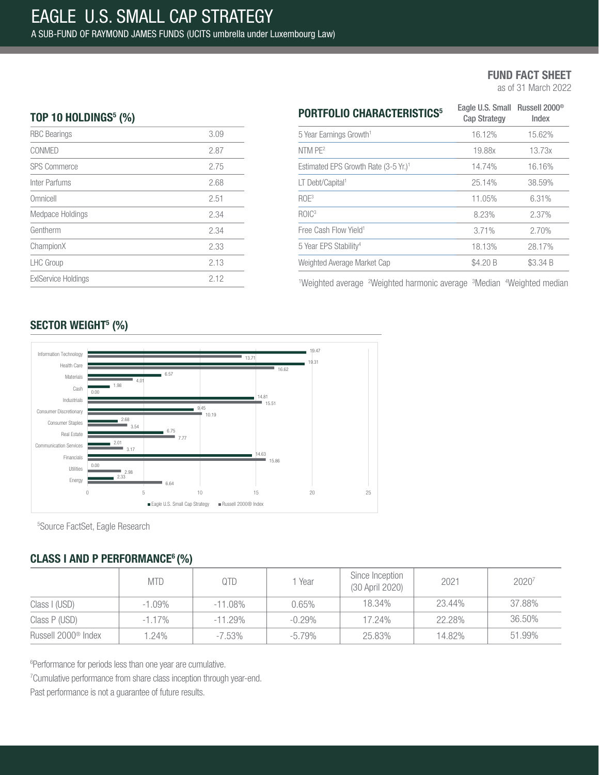as of 31 March 2022

# TOP 10 HOLDINGS $5$  (%)

| <b>RBC</b> Bearings        | 3.09 |
|----------------------------|------|
| CONMED                     | 2.87 |
| <b>SPS Commerce</b>        | 2.75 |
| Inter Parfums              | 2.68 |
| Omnicell                   | 2.51 |
| Medpace Holdings           | 2.34 |
| Gentherm                   | 2.34 |
| ChampionX                  | 2.33 |
| <b>LHC</b> Group           | 2.13 |
| <b>ExIService Holdings</b> | 2.12 |
|                            |      |

| <b>PORTFOLIO CHARACTERISTICS<sup>5</sup></b>     | Eagle U.S. Small Russell 2000 <sup>®</sup><br><b>Cap Strategy</b> | Index    |  |
|--------------------------------------------------|-------------------------------------------------------------------|----------|--|
| 5 Year Earnings Growth <sup>1</sup>              | 16.12%                                                            | 15.62%   |  |
| NTM PE <sup>2</sup>                              | 19.88x                                                            | 13.73x   |  |
| Estimated EPS Growth Rate (3-5 Yr.) <sup>1</sup> | 14.74%                                                            | 16.16%   |  |
| LT Debt/Capital <sup>1</sup>                     | 25.14%                                                            | 38.59%   |  |
| ROE <sup>3</sup>                                 | 11.05%                                                            | 6.31%    |  |
| ROIC <sup>3</sup>                                | 8,23%                                                             | 2.37%    |  |
| Free Cash Flow Yield <sup>1</sup>                | 3.71%                                                             | 2.70%    |  |
| 5 Year EPS Stability <sup>4</sup>                | 18.13%                                                            | 28.17%   |  |
| Weighted Average Market Cap                      | \$4.20 B                                                          | \$3.34 B |  |

<sup>1</sup>Weighted average <sup>2</sup>Weighted harmonic average <sup>3</sup>Median <sup>4</sup>Weighted median

# SECTOR WEIGHT<sup>5</sup> (%)



5 Source FactSet, Eagle Research

# CLASS I AND P PERFORMANCE<sup>6</sup> (%)

|                                 | <b>MTD</b> | QTD        | 1 Year    | Since Inception<br>(30 April 2020) | 2021   | 20207  |
|---------------------------------|------------|------------|-----------|------------------------------------|--------|--------|
| Class I (USD)                   | $-1.09\%$  | $-11.08\%$ | 0.65%     | 18.34%                             | 23.44% | 37.88% |
| Class P (USD)                   | $-1.17\%$  | $-11.29%$  | $-0.29\%$ | 17.24%                             | 22.28% | 36.50% |
| Russell 2000 <sup>®</sup> Index | $.24\%$    | $-7.53\%$  | $-5.79\%$ | 25.83%                             | 14.82% | 51.99% |

6 Performance for periods less than one year are cumulative.

<sup>7</sup> Cumulative performance from share class inception through year-end.

Past performance is not a guarantee of future results.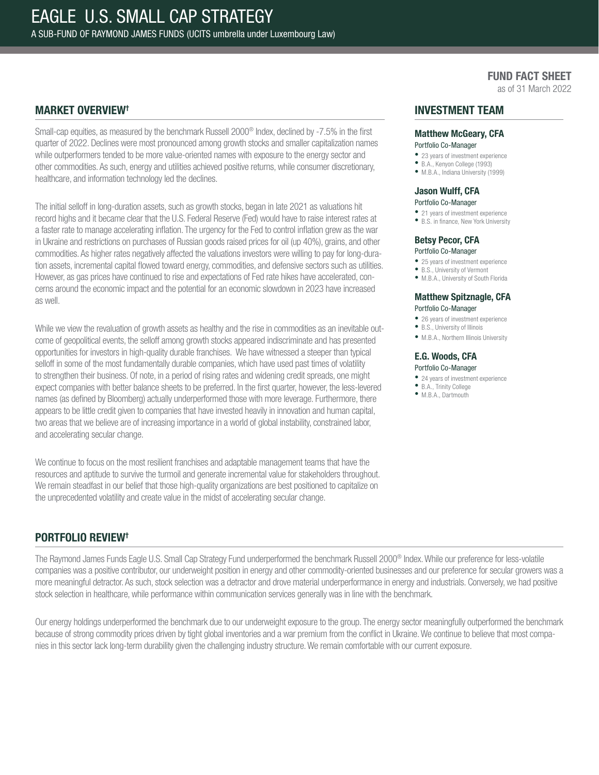as of 31 March 2022

### MARKET OVERVIEW†

Small-cap equities, as measured by the benchmark Russell 2000® Index, declined by -7.5% in the first quarter of 2022. Declines were most pronounced among growth stocks and smaller capitalization names while outperformers tended to be more value-oriented names with exposure to the energy sector and other commodities. As such, energy and utilities achieved positive returns, while consumer discretionary, healthcare, and information technology led the declines.

The initial selloff in long-duration assets, such as growth stocks, began in late 2021 as valuations hit record highs and it became clear that the U.S. Federal Reserve (Fed) would have to raise interest rates at a faster rate to manage accelerating inflation. The urgency for the Fed to control inflation grew as the war in Ukraine and restrictions on purchases of Russian goods raised prices for oil (up 40%), grains, and other commodities. As higher rates negatively affected the valuations investors were willing to pay for long-duration assets, incremental capital flowed toward energy, commodities, and defensive sectors such as utilities. However, as gas prices have continued to rise and expectations of Fed rate hikes have accelerated, concerns around the economic impact and the potential for an economic slowdown in 2023 have increased as well.

While we view the revaluation of growth assets as healthy and the rise in commodities as an inevitable outcome of geopolitical events, the selloff among growth stocks appeared indiscriminate and has presented opportunities for investors in high-quality durable franchises. We have witnessed a steeper than typical selloff in some of the most fundamentally durable companies, which have used past times of volatility to strengthen their business. Of note, in a period of rising rates and widening credit spreads, one might expect companies with better balance sheets to be preferred. In the first quarter, however, the less-levered names (as defined by Bloomberg) actually underperformed those with more leverage. Furthermore, there appears to be little credit given to companies that have invested heavily in innovation and human capital, two areas that we believe are of increasing importance in a world of global instability, constrained labor, and accelerating secular change.

We continue to focus on the most resilient franchises and adaptable management teams that have the resources and aptitude to survive the turmoil and generate incremental value for stakeholders throughout. We remain steadfast in our belief that those high-quality organizations are best positioned to capitalize on the unprecedented volatility and create value in the midst of accelerating secular change.

### INVESTMENT TEAM

# Matthew McGeary, CFA

### Portfolio Co-Manager

- 23 years of investment experience
- B.A., Kenyon College (1993) • M.B.A., Indiana University (1999)
- 

#### Jason Wulff, CFA

#### Portfolio Co-Manager

• 21 years of investment experience

• B.S. in finance, New York University

# Betsy Pecor, CFA

- Portfolio Co-Manager
- 25 years of investment experience
- B.S., University of Vermont • M.B.A., University of South Florida

#### Matthew Spitznagle, CFA Portfolio Co-Manager

- 26 years of investment experience
- B.S., University of Illinois
- M.B.A., Northern Illinois University

#### E.G. Woods, CFA Portfolio Co-Manager

- 24 years of investment experience
- B.A., Trinity College
- M.B.A., Dartmouth

# PORTFOLIO REVIEW†

The Raymond James Funds Eagle U.S. Small Cap Strategy Fund underperformed the benchmark Russell 2000® Index. While our preference for less-volatile companies was a positive contributor, our underweight position in energy and other commodity-oriented businesses and our preference for secular growers was a more meaningful detractor. As such, stock selection was a detractor and drove material underperformance in energy and industrials. Conversely, we had positive stock selection in healthcare, while performance within communication services generally was in line with the benchmark.

Our energy holdings underperformed the benchmark due to our underweight exposure to the group. The energy sector meaningfully outperformed the benchmark because of strong commodity prices driven by tight global inventories and a war premium from the conflict in Ukraine. We continue to believe that most companies in this sector lack long-term durability given the challenging industry structure. We remain comfortable with our current exposure.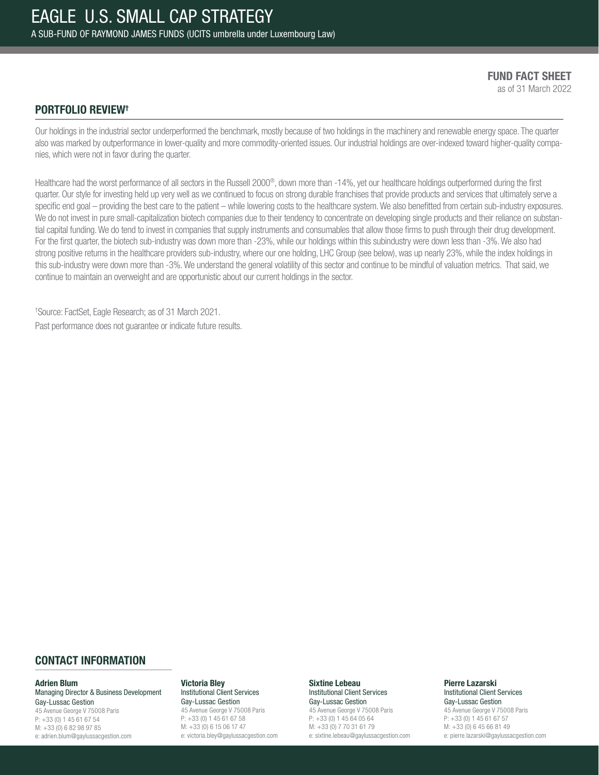FUND FACT SHEET as of 31 March 2022

### PORTFOLIO REVIEW†

Our holdings in the industrial sector underperformed the benchmark, mostly because of two holdings in the machinery and renewable energy space. The quarter also was marked by outperformance in lower-quality and more commodity-oriented issues. Our industrial holdings are over-indexed toward higher-quality companies, which were not in favor during the quarter.

Healthcare had the worst performance of all sectors in the Russell 2000®, down more than -14%, yet our healthcare holdings outperformed during the first quarter. Our style for investing held up very well as we continued to focus on strong durable franchises that provide products and services that ultimately serve a specific end goal – providing the best care to the patient – while lowering costs to the healthcare system. We also benefitted from certain sub-industry exposures. We do not invest in pure small-capitalization biotech companies due to their tendency to concentrate on developing single products and their reliance on substantial capital funding. We do tend to invest in companies that supply instruments and consumables that allow those firms to push through their drug development. For the first quarter, the biotech sub-industry was down more than -23%, while our holdings within this subindustry were down less than -3%. We also had strong positive returns in the healthcare providers sub-industry, where our one holding, LHC Group (see below), was up nearly 23%, while the index holdings in this sub-industry were down more than -3%. We understand the general volatility of this sector and continue to be mindful of valuation metrics. That said, we continue to maintain an overweight and are opportunistic about our current holdings in the sector.

† Source: FactSet, Eagle Research; as of 31 March 2021. Past performance does not guarantee or indicate future results.

### CONTACT INFORMATION

#### Adrien Blum

Managing Director & Business Development Gay-Lussac Gestion 45 Avenue George V 75008 Paris P: +33 (0) 1 45 61 67 54 M: +33 (0) 6 82 98 97 85 e: adrien.blum@gaylussacgestion.com

#### Victoria Bley

Institutional Client Services Gay-Lussac Gestion 45 Avenue George V 75008 Paris P: +33 (0) 1 45 61 67 58 M: +33 (0) 6 15 06 17 47 e: victoria.bley@gaylussacgestion.com

#### Sixtine Lebeau Institutional Client Services

Gay-Lussac Gestion 45 Avenue George V 75008 Paris P: +33 (0) 1 45 64 05 64 M: +33 (0) 7 70 31 61 79 e: sixtine.lebeau@gaylussacgestion.com

#### Pierre Lazarski Institutional Client Services Gay-Lussac Gestion

45 Avenue George V 75008 Paris P: +33 (0) 1 45 61 67 57 M: +33 (0) 6 45 66 81 49 e: pierre.lazarski@gaylussacgestion.com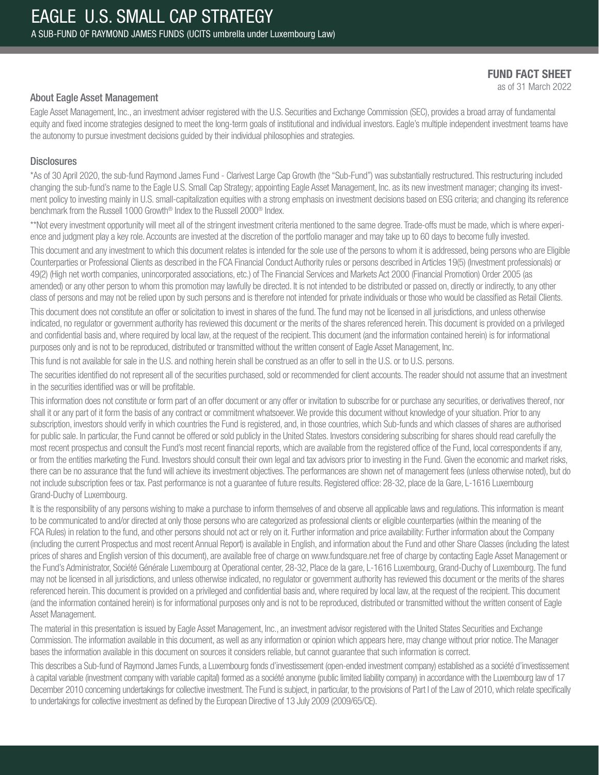as of 31 March 2022

### About Eagle Asset Management

Eagle Asset Management, Inc., an investment adviser registered with the U.S. Securities and Exchange Commission (SEC), provides a broad array of fundamental equity and fixed income strategies designed to meet the long-term goals of institutional and individual investors. Eagle's multiple independent investment teams have the autonomy to pursue investment decisions guided by their individual philosophies and strategies.

### **Disclosures**

\*As of 30 April 2020, the sub-fund Raymond James Fund - Clarivest Large Cap Growth (the "Sub-Fund") was substantially restructured. This restructuring included changing the sub-fund's name to the Eagle U.S. Small Cap Strategy; appointing Eagle Asset Management, Inc. as its new investment manager; changing its investment policy to investing mainly in U.S. small-capitalization equities with a strong emphasis on investment decisions based on ESG criteria; and changing its reference benchmark from the Russell 1000 Growth® Index to the Russell 2000® Index.

\*\*Not every investment opportunity will meet all of the stringent investment criteria mentioned to the same degree. Trade-offs must be made, which is where experience and judgment play a key role. Accounts are invested at the discretion of the portfolio manager and may take up to 60 days to become fully invested.

This document and any investment to which this document relates is intended for the sole use of the persons to whom it is addressed, being persons who are Eligible Counterparties or Professional Clients as described in the FCA Financial Conduct Authority rules or persons described in Articles 19(5) (Investment professionals) or 49(2) (High net worth companies, unincorporated associations, etc.) of The Financial Services and Markets Act 2000 (Financial Promotion) Order 2005 (as amended) or any other person to whom this promotion may lawfully be directed. It is not intended to be distributed or passed on, directly or indirectly, to any other class of persons and may not be relied upon by such persons and is therefore not intended for private individuals or those who would be classified as Retail Clients.

This document does not constitute an offer or solicitation to invest in shares of the fund. The fund may not be licensed in all jurisdictions, and unless otherwise indicated, no regulator or government authority has reviewed this document or the merits of the shares referenced herein. This document is provided on a privileged and confidential basis and, where required by local law, at the request of the recipient. This document (and the information contained herein) is for informational purposes only and is not to be reproduced, distributed or transmitted without the written consent of Eagle Asset Management, Inc.

This fund is not available for sale in the U.S. and nothing herein shall be construed as an offer to sell in the U.S. or to U.S. persons.

The securities identified do not represent all of the securities purchased, sold or recommended for client accounts. The reader should not assume that an investment in the securities identified was or will be profitable.

This information does not constitute or form part of an offer document or any offer or invitation to subscribe for or purchase any securities, or derivatives thereof, nor shall it or any part of it form the basis of any contract or commitment whatsoever. We provide this document without knowledge of your situation. Prior to any subscription, investors should verify in which countries the Fund is registered, and, in those countries, which Sub-funds and which classes of shares are authorised for public sale. In particular, the Fund cannot be offered or sold publicly in the United States. Investors considering subscribing for shares should read carefully the most recent prospectus and consult the Fund's most recent financial reports, which are available from the registered office of the Fund, local correspondents if any, or from the entities marketing the Fund. Investors should consult their own legal and tax advisors prior to investing in the Fund. Given the economic and market risks, there can be no assurance that the fund will achieve its investment objectives. The performances are shown net of management fees (unless otherwise noted), but do not include subscription fees or tax. Past performance is not a guarantee of future results. Registered office: 28-32, place de la Gare, L-1616 Luxembourg Grand-Duchy of Luxembourg.

It is the responsibility of any persons wishing to make a purchase to inform themselves of and observe all applicable laws and regulations. This information is meant to be communicated to and/or directed at only those persons who are categorized as professional clients or eligible counterparties (within the meaning of the FCA Rules) in relation to the fund, and other persons should not act or rely on it. Further information and price availability: Further information about the Company (including the current Prospectus and most recent Annual Report) is available in English, and information about the Fund and other Share Classes (including the latest prices of shares and English version of this document), are available free of charge on www.fundsquare.net free of charge by contacting Eagle Asset Management or the Fund's Administrator, Société Générale Luxembourg at Operational center, 28-32, Place de la gare, L-1616 Luxembourg, Grand-Duchy of Luxembourg. The fund may not be licensed in all jurisdictions, and unless otherwise indicated, no regulator or government authority has reviewed this document or the merits of the shares referenced herein. This document is provided on a privileged and confidential basis and, where required by local law, at the request of the recipient. This document (and the information contained herein) is for informational purposes only and is not to be reproduced, distributed or transmitted without the written consent of Eagle Asset Management.

The material in this presentation is issued by Eagle Asset Management, Inc., an investment advisor registered with the United States Securities and Exchange Commission. The information available in this document, as well as any information or opinion which appears here, may change without prior notice. The Manager bases the information available in this document on sources it considers reliable, but cannot guarantee that such information is correct.

This describes a Sub-fund of Raymond James Funds, a Luxembourg fonds d'investissement (open-ended investment company) established as a société d'investissement à capital variable (investment company with variable capital) formed as a société anonyme (public limited liability company) in accordance with the Luxembourg law of 17 December 2010 concerning undertakings for collective investment. The Fund is subject, in particular, to the provisions of Part I of the Law of 2010, which relate specifically to undertakings for collective investment as defined by the European Directive of 13 July 2009 (2009/65/CE).